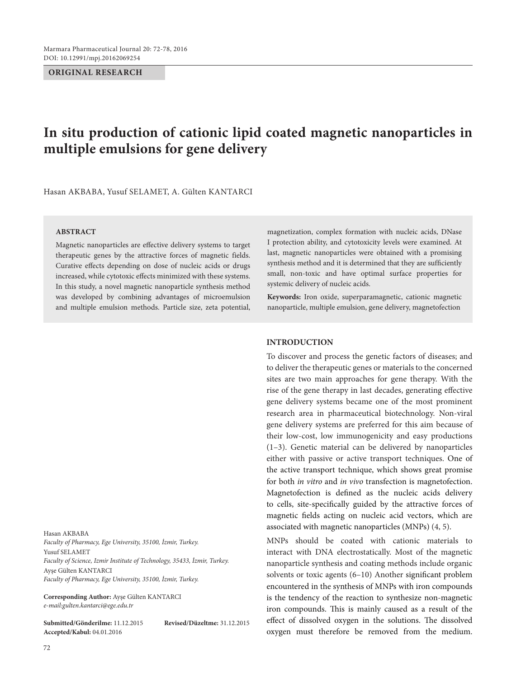**ORIGINAL RESEARCH**

**ABSTRACT**

## Hasan AKBABA

*Faculty of Pharmacy, Ege University, 35100, İzmir, Turkey.* Yusuf SELAMET *Faculty of Science, Izmir Institute of Technology, 35433, İzmir, Turkey.* Ayşe Gülten KANTARCI *Faculty of Pharmacy, Ege University, 35100, İzmir, Turkey.*

**Corresponding Author:** Ayşe Gülten KANTARCI *e-mail:gulten.kantarci@ege.edu.tr*

**Submitted/Gönderilme:** 11.12.2015 **Revised/Düzeltme:** 31.12.2015 **Accepted/Kabul:** 04.01.2016

magnetization, complex formation with nucleic acids, DNase I protection ability, and cytotoxicity levels were examined. At last, magnetic nanoparticles were obtained with a promising synthesis method and it is determined that they are sufficiently small, non-toxic and have optimal surface properties for systemic delivery of nucleic acids.

**Keywords:** Iron oxide, superparamagnetic, cationic magnetic nanoparticle, multiple emulsion, gene delivery, magnetofection

## **INTRODUCTION**

To discover and process the genetic factors of diseases; and to deliver the therapeutic genes or materials to the concerned sites are two main approaches for gene therapy. With the rise of the gene therapy in last decades, generating effective gene delivery systems became one of the most prominent research area in pharmaceutical biotechnology. Non-viral gene delivery systems are preferred for this aim because of their low-cost, low immunogenicity and easy productions (1–3). Genetic material can be delivered by nanoparticles either with passive or active transport techniques. One of the active transport technique, which shows great promise for both *in vitro* and *in vivo* transfection is magnetofection. Magnetofection is defined as the nucleic acids delivery to cells, site-specifically guided by the attractive forces of magnetic fields acting on nucleic acid vectors, which are associated with magnetic nanoparticles (MNPs) (4, 5).

MNPs should be coated with cationic materials to interact with DNA electrostatically. Most of the magnetic nanoparticle synthesis and coating methods include organic solvents or toxic agents (6–10) Another significant problem encountered in the synthesis of MNPs with iron compounds is the tendency of the reaction to synthesize non-magnetic iron compounds. This is mainly caused as a result of the effect of dissolved oxygen in the solutions. The dissolved oxygen must therefore be removed from the medium.

# **In situ production of cationic lipid coated magnetic nanoparticles in multiple emulsions for gene delivery**

Hasan AKBABA, Yusuf SELAMET, A. Gülten KANTARCI

Magnetic nanoparticles are effective delivery systems to target therapeutic genes by the attractive forces of magnetic fields. Curative effects depending on dose of nucleic acids or drugs increased, while cytotoxic effects minimized with these systems. In this study, a novel magnetic nanoparticle synthesis method was developed by combining advantages of microemulsion and multiple emulsion methods. Particle size, zeta potential,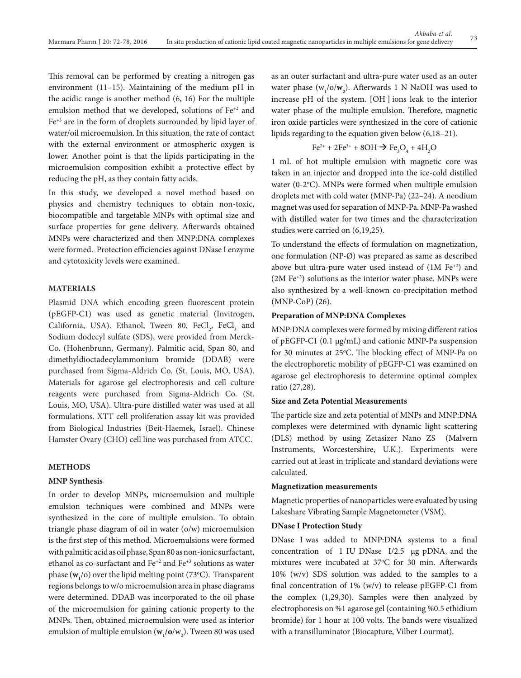This removal can be performed by creating a nitrogen gas environment (11–15). Maintaining of the medium pH in the acidic range is another method (6, 16) For the multiple emulsion method that we developed, solutions of Fe+2 and Fe+3 are in the form of droplets surrounded by lipid layer of water/oil microemulsion. In this situation, the rate of contact with the external environment or atmospheric oxygen is lower. Another point is that the lipids participating in the microemulsion composition exhibit a protective effect by reducing the pH, as they contain fatty acids.

In this study, we developed a novel method based on physics and chemistry techniques to obtain non-toxic, biocompatible and targetable MNPs with optimal size and surface properties for gene delivery. Afterwards obtained MNPs were characterized and then MNP:DNA complexes were formed. Protection efficiencies against DNase I enzyme and cytotoxicity levels were examined.

## **MATERIALS**

Plasmid DNA which encoding green fluorescent protein (pEGFP-C1) was used as genetic material (Invitrogen, California, USA). Ethanol, Tween 80,  $FeCl<sub>2</sub>$ ,  $FeCl<sub>3</sub>$  and Sodium dodecyl sulfate (SDS), were provided from Merck-Co. (Hohenbrunn, Germany). Palmitic acid, Span 80, and dimethyldioctadecylammonium bromide (DDAB) were purchased from Sigma-Aldrich Co. (St. Louis, MO, USA). Materials for agarose gel electrophoresis and cell culture reagents were purchased from Sigma-Aldrich Co. (St. Louis, MO, USA). Ultra-pure distilled water was used at all formulations. XTT cell proliferation assay kit was provided from Biological Industries (Beit-Haemek, Israel). Chinese Hamster Ovary (CHO) cell line was purchased from ATCC.

## **METHODS**

## **MNP Synthesis**

In order to develop MNPs, microemulsion and multiple emulsion techniques were combined and MNPs were synthesized in the core of multiple emulsion. To obtain triangle phase diagram of oil in water (o/w) microemulsion is the first step of this method. Microemulsions were formed with palmitic acid as oil phase, Span 80 as non-ionic surfactant, ethanol as co-surfactant and  $Fe^{+2}$  and  $Fe^{+3}$  solutions as water phase  $(w_1 / o)$  over the lipid melting point (73°C). Transparent regions belongs to w/o microemulsion area in phase diagrams were determined. DDAB was incorporated to the oil phase of the microemulsion for gaining cationic property to the MNPs. Then, obtained microemulsion were used as interior emulsion of multiple emulsion ( $w_1$ /**o**/w<sub>2</sub>). Tween 80 was used as an outer surfactant and ultra-pure water used as an outer water phase (w<sub>1</sub>/o/**w**<sub>2</sub>). Afterwards 1 N NaOH was used to increase pH of the system. [OH- ] ions leak to the interior water phase of the multiple emulsion. Therefore, magnetic iron oxide particles were synthesized in the core of cationic lipids regarding to the equation given below (6,18–21).

$$
\text{Fe}^{2+} + 2\text{Fe}^{3+} + 8\text{OH} \rightarrow \text{Fe}_3\text{O}_4 + 4\text{H}_2\text{O}
$$

1 mL of hot multiple emulsion with magnetic core was taken in an injector and dropped into the ice-cold distilled water (0-2°C). MNPs were formed when multiple emulsion droplets met with cold water (MNP-Pa) (22–24). A neodium magnet was used for separation of MNP-Pa. MNP-Pa washed with distilled water for two times and the characterization studies were carried on (6,19,25).

To understand the effects of formulation on magnetization, one formulation (NP-Ø) was prepared as same as described above but ultra-pure water used instead of  $(1M Fe^{+2})$  and  $(2M \, \text{Fe}^{+3})$  solutions as the interior water phase. MNPs were also synthesized by a well-known co-precipitation method (MNP-CoP) (26).

#### **Preparation of MNP:DNA Complexes**

MNP:DNA complexes were formed by mixing different ratios of pEGFP-C1 (0.1 µg/mL) and cationic MNP-Pa suspension for 30 minutes at 25°C. The blocking effect of MNP-Pa on the electrophoretic mobility of pEGFP-C1 was examined on agarose gel electrophoresis to determine optimal complex ratio (27,28).

## **Size and Zeta Potential Measurements**

The particle size and zeta potential of MNPs and MNP:DNA complexes were determined with dynamic light scattering (DLS) method by using Zetasizer Nano ZS (Malvern Instruments, Worcestershire, U.K.). Experiments were carried out at least in triplicate and standard deviations were calculated.

#### **Magnetization measurements**

Magnetic properties of nanoparticles were evaluated by using Lakeshare Vibrating Sample Magnetometer (VSM).

#### **DNase I Protection Study**

DNase I was added to MNP:DNA systems to a final concentration of 1 IU DNase I/2.5 µg pDNA, and the mixtures were incubated at 37°C for 30 min. Afterwards 10% (w/v) SDS solution was added to the samples to a final concentration of 1% (w/v) to release pEGFP-C1 from the complex (1,29,30). Samples were then analyzed by electrophoresis on %1 agarose gel (containing %0.5 ethidium bromide) for 1 hour at 100 volts. The bands were visualized with a transilluminator (Biocapture, Vilber Lourmat).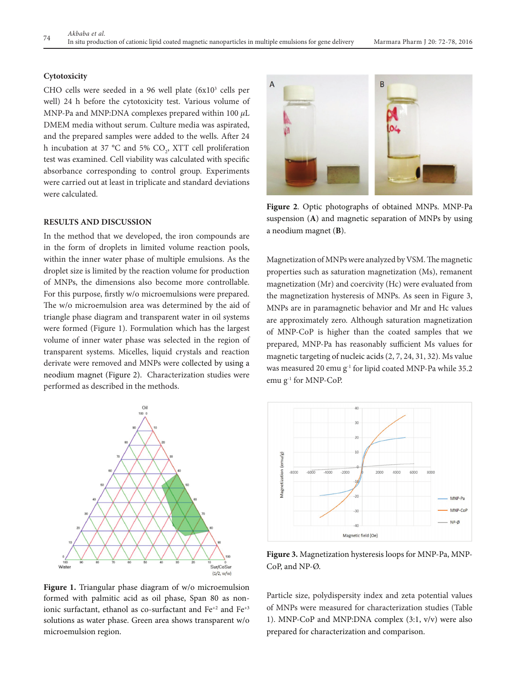#### **Cytotoxicity**

CHO cells were seeded in a 96 well plate  $(6x10<sup>3</sup>$  cells per well) 24 h before the cytotoxicity test. Various volume of MNP-Pa and MNP:DNA complexes prepared within 100 *μ*L DMEM media without serum. Culture media was aspirated, and the prepared samples were added to the wells. After 24 h incubation at 37 °C and 5%  $CO<sub>2</sub>$ , XTT cell proliferation test was examined. Cell viability was calculated with specific absorbance corresponding to control group. Experiments were carried out at least in triplicate and standard deviations were calculated.

## **RESULTS AND DISCUSSION**

In the method that we developed, the iron compounds are in the form of droplets in limited volume reaction pools, within the inner water phase of multiple emulsions. As the droplet size is limited by the reaction volume for production of MNPs, the dimensions also become more controllable. For this purpose, firstly w/o microemulsions were prepared. The w/o microemulsion area was determined by the aid of triangle phase diagram and transparent water in oil systems were formed (Figure 1). Formulation which has the largest volume of inner water phase was selected in the region of transparent systems. Micelles, liquid crystals and reaction derivate were removed and MNPs were collected by using a neodium magnet (Figure 2). Characterization studies were performed as described in the methods.



**Figure 2**. Optic photographs of obtained MNPs. MNP-Pa suspension (**A**) and magnetic separation of MNPs by using a neodium magnet (**B**).

Magnetization of MNPs were analyzed by VSM. The magnetic properties such as saturation magnetization (Ms), remanent magnetization (Mr) and coercivity (Hc) were evaluated from the magnetization hysteresis of MNPs. As seen in Figure 3, MNPs are in paramagnetic behavior and Mr and Hc values are approximately zero. Although saturation magnetization of MNP-CoP is higher than the coated samples that we prepared, MNP-Pa has reasonably sufficient Ms values for magnetic targeting of nucleic acids (2, 7, 24, 31, 32). Ms value was measured 20 emu g<sup>-1</sup> for lipid coated MNP-Pa while 35.2 emu g-1 for MNP-CoP.



**Figure 3.** Magnetization hysteresis loops for MNP-Pa, MNP-CoP, and NP-Ø.

**Figure 1.** Triangular phase diagram of w/o microemulsion formed with palmitic acid as oil phase, Span 80 as nonionic surfactant, ethanol as co-surfactant and Fe<sup>+2</sup> and Fe<sup>+3</sup> solutions as water phase. Green area shows transparent w/o microemulsion region.

Particle size, polydispersity index and zeta potential values of MNPs were measured for characterization studies (Table 1). MNP-CoP and MNP:DNA complex (3:1, v/v) were also prepared for characterization and comparison.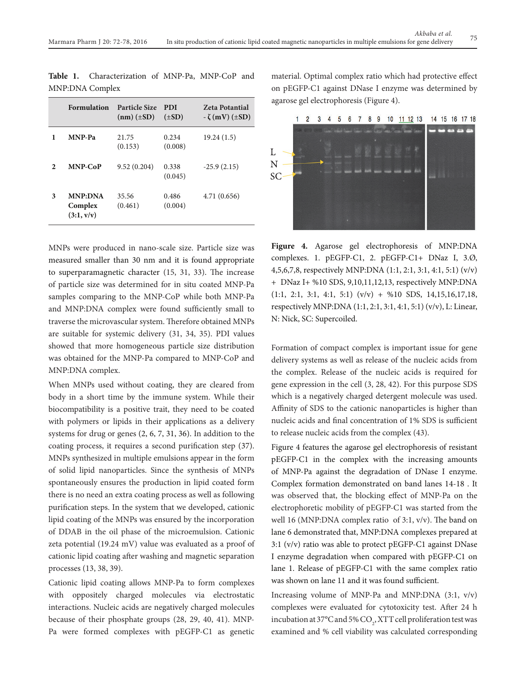|   | <b>Formulation</b>                      | <b>Particle Size</b><br>$(nm)$ ( $\pm SD$ ) | <b>PDI</b><br>$(\pm SD)$ | <b>Zeta Potantial</b><br>$-\zeta$ (mV) ( $\pm$ SD) |
|---|-----------------------------------------|---------------------------------------------|--------------------------|----------------------------------------------------|
| 1 | <b>MNP-Pa</b>                           | 21.75<br>(0.153)                            | 0.234<br>(0.008)         | 19.24 (1.5)                                        |
| 2 | <b>MNP-CoP</b>                          | 9.52(0.204)                                 | 0.338<br>(0.045)         | $-25.9(2.15)$                                      |
| 3 | <b>MNP:DNA</b><br>Complex<br>(3:1, v/v) | 35.56<br>(0.461)                            | 0.486<br>(0.004)         | 4.71 (0.656)                                       |

**Table 1.** Characterization of MNP-Pa, MNP-CoP and MNP:DNA Complex

MNPs were produced in nano-scale size. Particle size was measured smaller than 30 nm and it is found appropriate to superparamagnetic character (15, 31, 33). The increase of particle size was determined for in situ coated MNP-Pa samples comparing to the MNP-CoP while both MNP-Pa and MNP:DNA complex were found sufficiently small to traverse the microvascular system. Therefore obtained MNPs are suitable for systemic delivery (31, 34, 35). PDI values showed that more homogeneous particle size distribution was obtained for the MNP-Pa compared to MNP-CoP and MNP:DNA complex.

When MNPs used without coating, they are cleared from body in a short time by the immune system. While their biocompatibility is a positive trait, they need to be coated with polymers or lipids in their applications as a delivery systems for drug or genes (2, 6, 7, 31, 36). In addition to the coating process, it requires a second purification step (37). MNPs synthesized in multiple emulsions appear in the form of solid lipid nanoparticles. Since the synthesis of MNPs spontaneously ensures the production in lipid coated form there is no need an extra coating process as well as following purification steps. In the system that we developed, cationic lipid coating of the MNPs was ensured by the incorporation of DDAB in the oil phase of the microemulsion. Cationic zeta potential (19.24 mV) value was evaluated as a proof of cationic lipid coating after washing and magnetic separation processes (13, 38, 39).

Cationic lipid coating allows MNP-Pa to form complexes with oppositely charged molecules via electrostatic interactions. Nucleic acids are negatively charged molecules because of their phosphate groups (28, 29, 40, 41). MNP-Pa were formed complexes with pEGFP-C1 as genetic material. Optimal complex ratio which had protective effect on pEGFP-C1 against DNase I enzyme was determined by agarose gel electrophoresis (Figure 4).

3 4 5 6 7 8 9 10 11 12 13  $1<sub>2</sub>$ 14 15 16 17 18



**Figure 4.** Agarose gel electrophoresis of MNP:DNA complexes. 1. pEGFP-C1, 2. pEGFP-C1+ DNaz I, 3.Ø, 4,5,6,7,8, respectively MNP:DNA (1:1, 2:1, 3:1, 4:1, 5:1) (v/v) + DNaz I+ %10 SDS, 9,10,11,12,13, respectively MNP:DNA (1:1, 2:1, 3:1, 4:1, 5:1) (v/v) + %10 SDS, 14,15,16,17,18, respectively MNP:DNA (1:1, 2:1, 3:1, 4:1, 5:1) (v/v), L: Linear, N: Nick, SC: Supercoiled.

Formation of compact complex is important issue for gene delivery systems as well as release of the nucleic acids from the complex. Release of the nucleic acids is required for gene expression in the cell (3, 28, 42). For this purpose SDS which is a negatively charged detergent molecule was used. Affinity of SDS to the cationic nanoparticles is higher than nucleic acids and final concentration of 1% SDS is sufficient to release nucleic acids from the complex (43).

Figure 4 features the agarose gel electrophoresis of resistant pEGFP-C1 in the complex with the increasing amounts of MNP-Pa against the degradation of DNase I enzyme. Complex formation demonstrated on band lanes 14-18 . It was observed that, the blocking effect of MNP-Pa on the electrophoretic mobility of pEGFP-C1 was started from the well 16 (MNP:DNA complex ratio of 3:1, v/v). The band on lane 6 demonstrated that, MNP:DNA complexes prepared at 3:1 (v/v) ratio was able to protect pEGFP-C1 against DNase I enzyme degradation when compared with pEGFP-C1 on lane 1. Release of pEGFP-C1 with the same complex ratio was shown on lane 11 and it was found sufficient.

Increasing volume of MNP-Pa and MNP:DNA (3:1, v/v) complexes were evaluated for cytotoxicity test. After 24 h incubation at 37°C and 5%  $\mathrm{CO}_2$ , XTT cell proliferation test was examined and % cell viability was calculated corresponding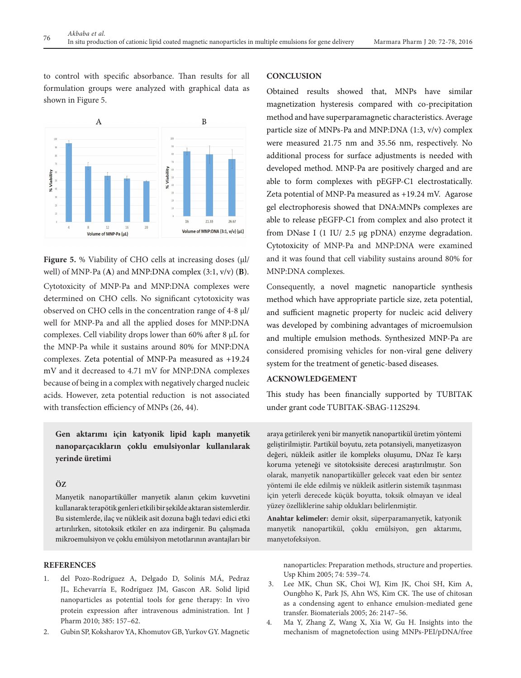to control with specific absorbance. Than results for all formulation groups were analyzed with graphical data as shown in Figure 5.



**Figure 5.** % Viability of CHO cells at increasing doses (μl/ well) of MNP-Pa (**A**) and MNP:DNA complex (3:1, v/v) (**B**).

Cytotoxicity of MNP-Pa and MNP:DNA complexes were determined on CHO cells. No significant cytotoxicity was observed on CHO cells in the concentration range of 4-8 µl/ well for MNP-Pa and all the applied doses for MNP:DNA complexes. Cell viability drops lower than 60% after 8 µL for the MNP-Pa while it sustains around 80% for MNP:DNA complexes. Zeta potential of MNP-Pa measured as +19.24 mV and it decreased to 4.71 mV for MNP:DNA complexes because of being in a complex with negatively charged nucleic acids. However, zeta potential reduction is not associated with transfection efficiency of MNPs (26, 44).

**Gen aktarımı için katyonik lipid kaplı manyetik nanoparçacıkların çoklu emulsiyonlar kullanılarak yerinde üretimi** 

## **Öz**

Manyetik nanopartiküller manyetik alanın çekim kuvvetini kullanarak terapötik genleri etkili bir şekilde aktaran sistemlerdir. Bu sistemlerde, ilaç ve nükleik asit dozuna bağlı tedavi edici etki artırılırken, sitotoksik etkiler en aza indirgenir. Bu çalışmada mikroemulsiyon ve çoklu emülsiyon metotlarının avantajları bir

## **REFERENCES**

- 1. del Pozo-Rodríguez A, Delgado D, Solinís MÁ, Pedraz JL, Echevarría E, Rodríguez JM, Gascon AR. Solid lipid nanoparticles as potential tools for gene therapy: In vivo protein expression after intravenous administration. Int J Pharm 2010; 385: 157–62.
- 2. Gubin SP, Koksharov YA, Khomutov GB, Yurkov GY. Magnetic

## **CONCLUSION**

Obtained results showed that, MNPs have similar magnetization hysteresis compared with co-precipitation method and have superparamagnetic characteristics. Average particle size of MNPs-Pa and MNP:DNA (1:3, v/v) complex were measured 21.75 nm and 35.56 nm, respectively. No additional process for surface adjustments is needed with developed method. MNP-Pa are positively charged and are able to form complexes with pEGFP-C1 electrostatically. Zeta potential of MNP-Pa measured as +19.24 mV. Agarose gel electrophoresis showed that DNA:MNPs complexes are able to release pEGFP-C1 from complex and also protect it from DNase I (1 IU/ 2.5 µg pDNA) enzyme degradation. Cytotoxicity of MNP-Pa and MNP:DNA were examined and it was found that cell viability sustains around 80% for MNP:DNA complexes.

Consequently, a novel magnetic nanoparticle synthesis method which have appropriate particle size, zeta potential, and sufficient magnetic property for nucleic acid delivery was developed by combining advantages of microemulsion and multiple emulsion methods. Synthesized MNP-Pa are considered promising vehicles for non-viral gene delivery system for the treatment of genetic-based diseases.

# **ACKNOWLEDGEMENT**

This study has been financially supported by TUBITAK under grant code TUBITAK-SBAG-112S294.

araya getirilerek yeni bir manyetik nanopartikül üretim yöntemi geliştirilmiştir. Partikül boyutu, zeta potansiyeli, manyetizasyon değeri, nükleik asitler ile kompleks oluşumu, DNaz I'e karşı koruma yeteneği ve sitotoksisite derecesi araştırılmıştır. Son olarak, manyetik nanopartiküller gelecek vaat eden bir sentez yöntemi ile elde edilmiş ve nükleik asitlerin sistemik taşınması için yeterli derecede küçük boyutta, toksik olmayan ve ideal yüzey özelliklerine sahip oldukları belirlenmiştir.

**Anahtar kelimeler:** demir oksit, süperparamanyetik, katyonik manyetik nanopartikül, çoklu emülsiyon, gen aktarımı, manyetofeksiyon.

nanoparticles: Preparation methods, structure and properties. Usp Khim 2005; 74: 539–74.

- 3. Lee MK, Chun SK, Choi WJ, Kim JK, Choi SH, Kim A, Oungbho K, Park JS, Ahn WS, Kim CK. The use of chitosan as a condensing agent to enhance emulsion-mediated gene transfer. Biomaterials 2005; 26: 2147–56.
- 4. Ma Y, Zhang Z, Wang X, Xia W, Gu H. Insights into the mechanism of magnetofection using MNPs-PEI/pDNA/free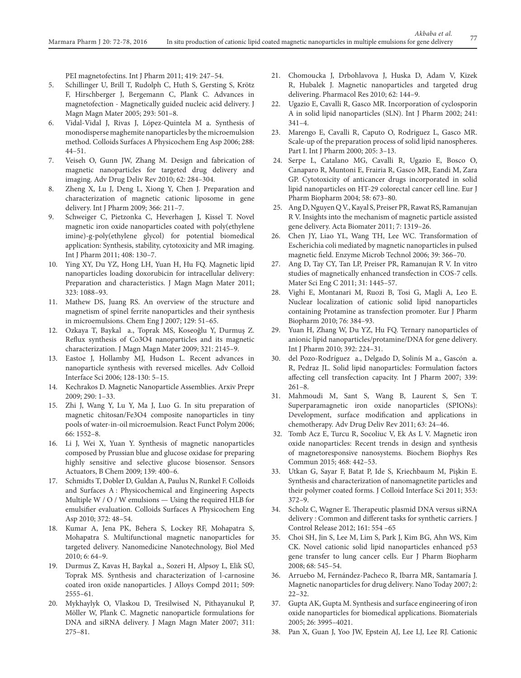PEI magnetofectins. Int J Pharm 2011; 419: 247–54.

- 5. Schillinger U, Brill T, Rudolph C, Huth S, Gersting S, Krötz F, Hirschberger J, Bergemann C, Plank C. Advances in magnetofection - Magnetically guided nucleic acid delivery. J Magn Magn Mater 2005; 293: 501–8.
- 6. Vidal-Vidal J, Rivas J, López-Quintela M a. Synthesis of monodisperse maghemite nanoparticles by the microemulsion method. Colloids Surfaces A Physicochem Eng Asp 2006; 288: 44–51.
- 7. Veiseh O, Gunn JW, Zhang M. Design and fabrication of magnetic nanoparticles for targeted drug delivery and imaging. Adv Drug Deliv Rev 2010; 62: 284–304.
- 8. Zheng X, Lu J, Deng L, Xiong Y, Chen J. Preparation and characterization of magnetic cationic liposome in gene delivery. Int J Pharm 2009; 366: 211–7.
- 9. Schweiger C, Pietzonka C, Heverhagen J, Kissel T. Novel magnetic iron oxide nanoparticles coated with poly(ethylene imine)-g-poly(ethylene glycol) for potential biomedical application: Synthesis, stability, cytotoxicity and MR imaging. Int J Pharm 2011; 408: 130–7.
- 10. Ying XY, Du YZ, Hong LH, Yuan H, Hu FQ. Magnetic lipid nanoparticles loading doxorubicin for intracellular delivery: Preparation and characteristics. J Magn Magn Mater 2011; 323: 1088–93.
- 11. Mathew DS, Juang RS. An overview of the structure and magnetism of spinel ferrite nanoparticles and their synthesis in microemulsions. Chem Eng J 2007; 129: 51–65.
- 12. Ozkaya T, Baykal a., Toprak MS, Koseoğlu Y, Durmuş Z. Reflux synthesis of Co3O4 nanoparticles and its magnetic characterization. J Magn Magn Mater 2009; 321: 2145–9.
- 13. Eastoe J, Hollamby MJ, Hudson L. Recent advances in nanoparticle synthesis with reversed micelles. Adv Colloid Interface Sci 2006; 128-130: 5–15.
- 14. Kechrakos D. Magnetic Nanoparticle Assemblies. Arxiv Prepr 2009; 290: 1–33.
- 15. Zhi J, Wang Y, Lu Y, Ma J, Luo G. In situ preparation of magnetic chitosan/Fe3O4 composite nanoparticles in tiny pools of water-in-oil microemulsion. React Funct Polym 2006; 66: 1552–8.
- 16. Li J, Wei X, Yuan Y. Synthesis of magnetic nanoparticles composed by Prussian blue and glucose oxidase for preparing highly sensitive and selective glucose biosensor. Sensors Actuators, B Chem 2009; 139: 400–6.
- 17. Schmidts T, Dobler D, Guldan A, Paulus N, Runkel F. Colloids and Surfaces A : Physicochemical and Engineering Aspects Multiple W / O / W emulsions — Using the required HLB for emulsifier evaluation. Colloids Surfaces A Physicochem Eng Asp 2010; 372: 48–54.
- 18. Kumar A, Jena PK, Behera S, Lockey RF, Mohapatra S, Mohapatra S. Multifunctional magnetic nanoparticles for targeted delivery. Nanomedicine Nanotechnology, Biol Med 2010; 6: 64–9.
- 19. Durmus Z, Kavas H, Baykal a., Sozeri H, Alpsoy L, Elik SÜ, Toprak MS. Synthesis and characterization of l-carnosine coated iron oxide nanoparticles. J Alloys Compd 2011; 509: 2555–61.
- 20. Mykhaylyk O, Vlaskou D, Tresilwised N, Pithayanukul P, Möller W, Plank C. Magnetic nanoparticle formulations for DNA and siRNA delivery. J Magn Magn Mater 2007; 311: 275–81.
- 21. Chomoucka J, Drbohlavova J, Huska D, Adam V, Kizek R, Hubalek J. Magnetic nanoparticles and targeted drug delivering. Pharmacol Res 2010; 62: 144–9.
- 22. Ugazio E, Cavalli R, Gasco MR. Incorporation of cyclosporin A in solid lipid nanoparticles (SLN). Int J Pharm 2002; 241: 341–4.
- 23. Marengo E, Cavalli R, Caputo O, Rodriguez L, Gasco MR. Scale-up of the preparation process of solid lipid nanospheres. Part I. Int J Pharm 2000; 205: 3–13.
- 24. Serpe L, Catalano MG, Cavalli R, Ugazio E, Bosco O, Canaparo R, Muntoni E, Frairia R, Gasco MR, Eandi M, Zara GP. Cytotoxicity of anticancer drugs incorporated in solid lipid nanoparticles on HT-29 colorectal cancer cell line. Eur J Pharm Biopharm 2004; 58: 673–80.
- 25. Ang D, Nguyen Q V., Kayal S, Preiser PR, Rawat RS, Ramanujan R V. Insights into the mechanism of magnetic particle assisted gene delivery. Acta Biomater 2011; 7: 1319–26.
- 26. Chen JY, Liao YL, Wang TH, Lee WC. Transformation of Escherichia coli mediated by magnetic nanoparticles in pulsed magnetic field. Enzyme Microb Technol 2006; 39: 366–70.
- 27. Ang D, Tay CY, Tan LP, Preiser PR, Ramanujan R V. In vitro studies of magnetically enhanced transfection in COS-7 cells. Mater Sci Eng C 2011; 31: 1445–57.
- 28. Vighi E, Montanari M, Ruozi B, Tosi G, Magli A, Leo E. Nuclear localization of cationic solid lipid nanoparticles containing Protamine as transfection promoter. Eur J Pharm Biopharm 2010; 76: 384–93.
- 29. Yuan H, Zhang W, Du YZ, Hu FQ. Ternary nanoparticles of anionic lipid nanoparticles/protamine/DNA for gene delivery. Int J Pharm 2010; 392: 224–31.
- 30. del Pozo-Rodríguez a., Delgado D, Solinís M a., Gascón a. R, Pedraz JL. Solid lipid nanoparticles: Formulation factors affecting cell transfection capacity. Int J Pharm 2007; 339: 261–8.
- 31. Mahmoudi M, Sant S, Wang B, Laurent S, Sen T. Superparamagnetic iron oxide nanoparticles (SPIONs): Development, surface modification and applications in chemotherapy. Adv Drug Deliv Rev 2011; 63: 24–46.
- 32. Tomb Acz E, Turcu R, Socoliuc V, Ek As L V. Magnetic iron oxide nanoparticles: Recent trends in design and synthesis of magnetoresponsive nanosystems. Biochem Biophys Res Commun 2015; 468: 442–53.
- 33. Utkan G, Sayar F, Batat P, Ide S, Kriechbaum M, Pişkin E. Synthesis and characterization of nanomagnetite particles and their polymer coated forms. J Colloid Interface Sci 2011; 353: 372–9.
- 34. Scholz C, Wagner E. Therapeutic plasmid DNA versus siRNA delivery : Common and different tasks for synthetic carriers. J Control Release 2012; 161: 554 –65
- 35. Choi SH, Jin S, Lee M, Lim S, Park J, Kim BG, Ahn WS, Kim CK. Novel cationic solid lipid nanoparticles enhanced p53 gene transfer to lung cancer cells. Eur J Pharm Biopharm 2008; 68: 545–54.
- 36. Arruebo M, Fernández-Pacheco R, Ibarra MR, Santamaría J. Magnetic nanoparticles for drug delivery. Nano Today 2007; 2: 22–32.
- 37. Gupta AK, Gupta M. Synthesis and surface engineering of iron oxide nanoparticles for biomedical applications. Biomaterials 2005; 26: 3995–4021.
- 38. Pan X, Guan J, Yoo JW, Epstein AJ, Lee LJ, Lee RJ. Cationic